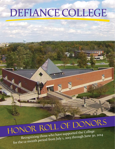## DEFIANCE COLLEGE

# HONOR ROLL OF DONORS<br>Recognizing those who have supported the College

THE PLOTTE (JERFAN)

for the 12-month period from July 1, 2013 through June 30, 2014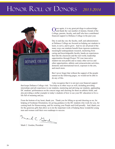

nce again, it is my great privilege to acknowledge and thank the vast number of alumni, friends of the College, parents, faculty, and staff who have contributed financial support to Defiance College in the past year.

Day in and day out, the faculty, staff, and administrators at Defiance College are focused on helping our students to learn, to serve, and to grow. And we are all proud of the many ways our students benefit from rigorous academics, meaningful undergraduate research, mentoring from caring and knowledgeable faculty, hands-on experiences that link the classroom and the real world, leadership opportunities through Project 701 (our innovative student-run non-profit) and so many other service and other opportunities, athletic and extracurricular activities, domestic and international travel, exposure to the arts, and much more.

But I never forget that without the support of the people named on the following pages, we would not be able to do any of this.

I also recognize that it is not just your financial support

that keeps Defiance College vital. You help us in other ways as well, including providing internships and job experience to our students, mentoring and advising our students, applauding DC students' performances on the concert stage and cheering for them on athletic fields, and also providing a stellar example to today's students of how to use your DC education to live a life full of meaning and joy.

From the bottom of my heart, thank you. Thank you for lifting us up and cheering us on, for helping at Freshman Orientation, for giving guidance to the DC students who work for you, for coming back for Homecoming, and for wearing your Purple and Gold proudly. And, thank you for the generous gifts that allow us to do the important work of helping these wonderful young men and women craft their own roadmaps to success.

mark C Gord

Mark C. Gordon, President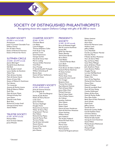

### SOCIETY OF DISTINGUISHED PHILANTHROPISTS

Recognizing those who support Defiance College with gifts of \$1,000 or more

### PILGRIM SOCIETY

#### *\$25,000 or more annually*

Anonymous Justin F. Coressel Charitable Trust William Finerty Eric & Debra Hench Estate of Martha B. Thornton Estate of Marion Van Horne

### SUTPHEN CIRCLE

*\$10,000 - \$24,999 annually* Jeanne Behringer\* Randall & Sonia Buchman Edd Buhl Dean & Judie Colwell Lynne Quillen de Sherbinin Helen Frey Mark & Anne Gordon Mark & Denise Hench Estate of Irene Hills Estate of Mildred E. Hutchinson Karl Ideman Tim Leuzarder Antonio & Martha Linares Philip & Rebecca Mallott Ruth Max Mark & Karen Moats Michael & Kathy Paul Lynn Peters David & Linda Polzin Barb Silvis Richard & Carolyn Small George & Sandy Smart Steven Walker

### TRUSTEE SOCIETY

*\$7,500 - \$9,999 annually* Michael Miller Stuart & Susan Sakosits James Wheeler

### CHARTER SOCIETY

### *\$5,000 - \$7,499*

Charlotte Beard Lois Behm Luana W. Bogue Thomas & Barbara Callan Frank & Jan Craig Jameson Crane David Fitzsimmons George Gordon Harold & Cheryl Hahr Marvin Ludwig Thomas & Ellen Noneman Chad Peter Gary Priestap H. Gerald & Judith Prokupek William Schomburg III Bonnie Sloan Steven & Patty VanDemark Mary Ann Victor

#### FOUNDER'S SOCIETY *\$2,500 - \$4,999 annually*

James & Suzanne Amstutz Jerry Bergman & Julie Fritz-Bergman Stanley & Judy Brahier Robert & Nancy Bucceri Linda Clark James Hamilton Terrence Haydinger Douglas Howe Richard & Lisa Kasmer Walter & Nancy Mast Greg & Janet\* Morton Don Nelson Richard & Sue Pejeau David & Marian Plant Terrence Rettig Paul & Katie Schroeder Shaune Skinner Steven & Tina Smith Ernesto Vilar John Weaner

### PRESIDENT'S **SOCIETY** *\$1,000 - \$2,499 annually*

Bruce & Elizabeth Angell Bob & Louanne Aschliman Jeremy Ball Jeff & Geri Bartlett Robert Bentley Ted & Diana Bertke Bruce Besso Chad Bieber L. David & Marilyn Black Laura Bosh David Bowers Frank Brown & Debra Guilford Randy & Marilyn Buchman M. Dosia Carlson Daniel Chao Marlyn & Joy Close Howard & Linda Cotrell Eric Creager Benjamin Davis Thomas Derricotte Ray & Beverly Dielman Mark & Keeta Diller lanice Diller-Otto\* .<br>Michael Doersam Ray & Coleen Etzler Clair & Tedica Fetters Art Fullmer Jonathan Gathman Alice Gibson Bruce Green Robert Head Martin & Susan Henderson Myrle & Ruth Ann Hinesman Duane Hocking William Houle Janis Hubbard Tom & Jean Hubbard Richard & Faith Hurst Jini Hushak Marion Isaac James Jackson Patricia Jenkins Howard & Margaret Johnson

Robert Juettner Rita Kissner Mark Klein Richard & Marianne Leese Nadene Lewis Jeffrey Maffett Larry Mansfield Fred & Lucy Weaver Marckel Dorothy Martin P. Robert & Alice Meuleman Harry & Gloria Miller Ray and Teresa Miller Susan Witty Millinger James & Barbara Moats John & JoAnne Moats Lewis & Janice Mollica Douglas Murray Lorretta Neff Bjorklund Gregory K. Olwine Robert Otis Larry & Lisa Papenfuss Michael & Vicki Pletcher Donna Polce Edward Priestap David & Laurabeth Reed Kevin & Vivian Rettig Candice Rolfsmeyer Robert & Alice Rote David & Marilyn Ruffer Mary Ellen Ruhlin Betsy Ryan & Nick Mankovich Anne Schultz David Scott Jeffrey Semon Gerald Serrick Richard & Cynthia Shaffer Fred & Kathleen Shato Christine Slattery Estate of Ethel R. Smith Michael & Sally Snyder George & Carol Stockman Steven Wilkin Michael & Jane Wolchonok Larry Woods Michael Wright

Fred Yarnell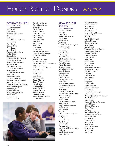### DEFIANCE SOCIETY

*\$500 - \$999 annually* Lee & Marjane Baker Jayne Beilke Donald Bentley Wendy Morton Bernier Beth Besaw Jill Blocker Mark & Dawne Bockelman Gary Chaney Kelly Coble George Combs Todd Comer Jayne Dietsch Frederick & June Eicher Rachel Eicher Dennis Etzler Michael & Cynthia Fatzinger Matt & Jennie Gilroy Robert & Barbara Green Sharon Heinrich Mark & Edith Hickman Chris & Annette Hoeffel Robert Howes Douglas & Linda Huffman Brent Joost Estate of Lala Keiser Don & Peggy Knueve Roland & Kandice Kowalski Beth Kurtz-Costes Gerald & Marilyn Loar Mallott Pete & Jan Manuguerra John McHugh Eugenio Mendoza Bernie & Maggie Mikula Ann Moffett Marcia Mohre Herbert Pawlitsch

Ted & Brenda Penner Terry & Betty Penner Richard Perry Wendy Pestrue Kenneth Provost John & Betty Pullen Marvin Retcher Marvin Rettig Larry & Jeri Rice Peter Rich Janet Richards Gary Rohrs Craig Rutter Thomas Sauer Bruce & Janice Saulnier Ronald & Shirley Schumm Thomas Siebenaler Tim Sinn James & Carol Smerz Stuart & Joani Smith Timothy & Connie Hutchins Smith R. Michael Spenceley C. Stephen & Carol Steffel Richard Steudel Emily Stroede Kent Stryker James Studer Mary Ann Studer Delbert Thatcher Carole Thomas Phillip Thomas Al & Linda Tuohy Douglas Van Horn Francine Wahrman Barbara Warncke Jeffrey Welbaum Ronald & Doris Winslow Gordon Yahney



### ADVANCEMENT **SOCIETY**

*\$250 - \$499 annually* Tara Francis Adams Ada Arps Cory Baden Fred & Barbara Baker Bob Bauerle Jim Beaverson Janet Berg Calvin & Charlotte Bergman Thomas A. Biggs Robert Bonham James Bottger Jeffrey Boulton Kristie Briggs Michael Brinkman Kyle & Steffanie Brumett Donna Buckman Michael Carmen Martha Catuogno Cynthia Corbett Jack & Sandra Cotter Susan B. Crossland John Crowther Carol Dawson John M. Decker Raymond Derricotte Brian Diller David & Dixie Durham Ron & Donna Ehresman Ronald Emrich Gary Evans Roger & Karen Farlee Bruce & Barbara Gynn Fisher Hyman Goldberg John Ted Good Linda S. Griffin Dennis & Dawn Guilford Sharon Healy Philip & Barbara Hosmer Marcia House John Hrivnyak David Iliff B. Theodore & Sheila Jacobs Joseph Jenkins Sam Kinghorn Alberta Knause Wendy Krauss Kathy Krygier Maxie Lambright Steven & Kathleen Lambright Mark Lee John & Dianne Legros Barbara Leroux

Paul & Ann Mallett Norvin Mansfield Daniel Martin William McCleary Sheri McCoy Joseph & Sandy McKenna Stephanie Meyer Mark Miller John & Vivian Mitchell Kristina Mohring Sharon Mortensen Justus Mouser Neeta Nichols William & Charlotte Ondrus Rudy & Karen Oswald C. Raymond Probst Kathleen Punches Robert Rankin Lorie Rath Anita Rethmel Janice J. Rettig Jolyn Salupo Dean & Tina Sandwisch Mary Ann Schroeder Randy Schroeder Vickie Shell Allen Shininger Lois Simpson Ann Small Robyn Small Robert Smith Kristin Sorensen Robert Southworth\* Corey Speiser Bruce & Galen Sprunger Arthur H. Steidel Harold & Jenny Caldwell Steindam Mike & Kathy Suzo Scott Swartz Raymond & Donna Tauriainen Richard Thiede G. Richard Thompson Marilyn Toner Jim Treece Frank & Kathy Turano Charles & Saundra Vosler Carolyn Walters R. Scott Warren Robert Watters Judith Watts Dean Wright Alesia Yakos-Brown Saundra Young Linda Zelms Bob Zimny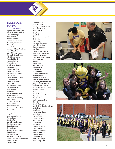

### ANNIVERSARY **SOCIETY**

*\$163 - \$249 annually* Bryan & Jennifer Albright Ronald & Patricia Arthur Deborah Baringer Mary Barnes\* Andrew Barrick Frank & Becky Barron Robert & Joy Bashore Patricia Basil Tracy Beck Lawrence & Ruth Ann Blush Steve & Sue Boomer Larry & Donna Bracken Robert & Karen Brown S.G. & Linda Brugler Penny Bell Bundy Matthew Calmes Francis Carley John Dennis Cassels James Coressel Suzanne Bok Cox David & Aloris Dale Sue Roughton Dangler Eric Detmer Joseph & Patricia Dipre Stuart Douglas Carl & Amy Drees Mark Earle Vivian Newkirk Ekberg Lee & Linda Engel Betty Everett Ned Ewers Ron & Lila Fedokovitz Michael Freeland Jim & Kathy Funderburg Mark Getsay Carolyn Gilgenbach Ross Gruber Richard Harpster A. Bernard & Mona Hatch Richard Heisler Timothy Held Sonya Herber Jesse & Linda Jackson Patricia Jagger Bonnie Jefferis Joel & Donna Johnson Charles & Janet Koch Dawn LaBarbera Edward Lapuh Kenneth & Laura Lause Dawn Leitner Shannon Liechty Ruth Ann Ireton Lusk Tom & Christine MacNaughton Stanley Marsden David Matson

Leah Matthews James Maxwell D. Craig & Patty McCord Barry & Vicki McMaster William McPhie Kirk Mee John Meloy Donna Jackman Merlini Kevin Miller Alton Myers Nicholas Niederman Anne Oliver Niner Charles Omsberg Paul Ondrus Joseph & Susan O'Neil Jared & Mariah Orzolek David & Olena Pierce Philip & Adrienne Pittman Sara Link Powers Bill Ray Robert Reed Alyce Reinhart Fred Reinstein Donald Riker Vincent Rose Rebecca Rothenbuhler Harry Ryerson Herbert H. Salsbury Frank & Sandra Sanders Robert & Johanna Sauders Jerry & Dorothy Scheele Bernice Gross Schmidt Ronald & Catherine Scholz Wendy L. Schultz Melissa Scott Ronald & Adele Seymour Doris Shawley Douglas Short Linda Meuleman Shupp Kathy Sinn Ronald Sislowski Ron & Ginny Gander Solberg Rollin Steele Jr. John Stites Mick & Lorie Stone Sarah Tackett Michele Tinker Thomas Vershum Betty Wagner J. Michael Walz .<br>Ruth Warncke David Warrington Philip Weaner Tom & Jill Weddington Susan Whittemore Marie Williams Cricket Young Jan & Judy Younger Hans & Amy Zipfel





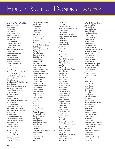### DONORS TO \$163

Rosemary Abissi Don Adams Michael Ahern Cynthia Allen Neil & Kamille Allen Nancy Carr Anderson Sue Kanney Arnold Janice Arvay Donald Asman Stephanie Auwaerter Suzanne Badenhop Daniel Baer Allen & Sherry Baldwin Kenneth Ball Norma Barber-Hurst Pamela Barnett Timothy Barrett James Battershell Jr. James & Helen Bauer Tom & Emilie Bauerle David Behringer Kenneth Beilharz Scott Bellamy Richard & Mary Jane Bender Lynn & Kathy Bergman Marvin & Darlene Bergman Janet Berlincourt Roger Berninger John Bessey & Phyllis Slye Bessey Betty Bidlack Joyce Shepherd Blankenship Bob & Jane\* Bochenek Nicole Erford Bockrath Holly Boehm Ken & Kris Boland Alex Bonilla Bertha H. Booker Gary & Toni Hageman Borchardt Rick Bowman Lisa Mayer Brady Steven & Katy Brancheau Anita Reagle Brandeberry Estate of Marciana Brandes Greg Brandt William Brandt Loretta Rupp Brannan Julie Schroeder Brown Sylvia A. Larcamp Brown Jean Sibert Bruns Dale Bruskotter Brian Bundenthal Thomas Burden Ronald Burdick Sr. Fred Burgard Gordon & Ann Burke Jo Ann Burkhardt Mary Burkholder Holly Burnett-Hanley

Nancy Huffman Burris Joshua Burt Caren Bush Carl Busnick Kaycee Butt David Cain Jeffrey Cary Daryl & Jeanne Caryer Jean Churchill David Clifton William A. & S. Louann Cline Lewis & Marietta Cloud David Coburn Barbara Cocanour Hilton William Cody Verna Coleman Charles Collimore David Connor Melissa Cook Jeffrey Crandell Diane Creamer Rich & Jan Cromwell Louis Crow David & Heather Dale Jacqueline Dallara Herman & Judith Dally Joseph Daly Michael Davidson Melissa Davies Thomas Dean Pamela Decker Roger Deere Family Rita Deerhake Juliette Demeo Bill Derbyshire Mary Ann Dickson Nicole Diers Doris Dietrich Helen Dilman James Dinkel Dennis Diso David Dix Ernest Doherty lack Donley Wesley Douglas M. Malinda Doutt Curtis Downing Jody Doyle James Drewes David Druckenmiller Betty Durbin William Earle Mindy Edwards John Ellis & Karen McComas Ellis Jared Erickson Thia Erit Carol Eschhofen John Evritt Anthony Farina

Wendy Farrell Rick Feller Raymond Fesmier Jamison & Stephanie Fetter Robert Fields Kevin Finfrock John & Linda Lee Fischer Philip & Barbara Fitzenrider Rachel Flad Donald Flinn Douglas Flory Michael Foster Joshua Francis Karla Free Mary Freeman Cheryl Freewalt Melissa Fries Leighton Fritz Ward & Shirley Fritz Charles Frost Wilhelmine Frueh John Funk Paul Furnas Maryjane Hanson Furrer Kathy Garland John Garver Kim Garver Bob Garwood Susan Gates Julie Gaynor David Gerken Lynnette Gerken Shirley Gero Bob Ginther Ken & Deb Glanz Marcia Gobrogge Sandra Golden Timothy Gore James Gorham Gregory Gosche Dale Grabowski Beth Grafing Peter Grant James Graver Tony & Jane Gray Jerry Griffith James Gwynn David Gynn Michael Hagan C. Kenneth Hahn Jr.\* Peter & Christine Haines Robert Hancock Diana Harbourt Russell Hardesty Barry Hart John & Laura Hartpence Mark Harvey Erick & Megan Hassid Aaron Hatem

Jeffrey & Kristine Haught John James Hay Winona Hays John Headstrom Steven Heinrich Ruth Knoop Heins Robert Held Rosalie A. Held Thomas Held Patrick Henry Cort Hepner Rod & Pam Hersha Martha B. Higgins William & Marianna Hines Stacey Hinkle-Fay Donald Hire Craig Hoffman Miriam Hone Kevin Lee Hoops Martin Hopkins Evelyn Fribley Hopper Thomas & Holli Horn Douglas Horner Kevin Horstman Jeff Horton Clinton Hoskins Virginia Howard Elaine Hudson George Hudson William & Suzanne Hultz Scott Hundley Joyce Huseby Rolland Huss Caci Hyman David Ike Ryan Imbrock Kenneth Jackman Kirk Jesse Carol Johnson Harold & Lydia Johnson Nettie Johnston Matthew Joost Diane Jutte Jessica Kaiser Bonnie Kammeyer Alisha Kazlausky Kristi Keefer Lynn Keller Angela Kelly William & Janet Kempton Robert & Belinda Kenyon Connie Kimble Francis Kime Michael & Cathy Klein Alice Kleman Michael Kline Alex & Collette Knight Charles Knox Judy Koehler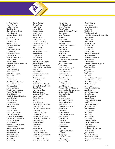

M. Peter Koenig Marcia Komives Anthony Komon David Kondas Gary & Connie Konst Sheri Kovaleski Rebecca Sanders Krill Steven Krill Gregory Kulwicki Diana Kunkel Robert Kunkle Michael Kwiatkowski Jim Ladd Sigrid Eisberg Lade John Lambert Kimberly Lammers Kent LeGrow Gene & Karen Lehman Linda LeShanna Joseph Leskow Stanley & Edith Lewandowski Peggy Lewis Rose Lewis Terry Lichtenberg Max Lieberman Jeff & Pamela Lightle Jacob Linder Kathryn Litle Charles Logan Ben & Darlene Londeree Lowell & Sue Loweke Robert Ludwig Sharon Luebrecht Pete & Nancy Lundberg Matt & Randi Lydum Karen Maassel Harold & Nickie MacCubbin Randall Malcolm Martha Mallott Monica Mangas Candace Martens Rod Martin Vicki Martinich Christin Mashburn Christopher Maxwell Larry & Shirley May Doyle & Eloise McBride Suellen McCaulley-Byrne Walter McCleery Jo McCormick Bruce & Lois McCullough Carol McInerney Marisa Brewster McLeod Amy McMaster Walter Mebane III Richard Mellerup Zohrab Meneshian Roger Merb Keith Merillat

Daniel Metviner Kirsten Meyer Mark Meyer Michael Meyer Eugene Meyers John Migliaro Debra Miller Robert Minsel John & Joyce Mohr Thomas Molitierno Clarence & Janet Molitor Leonora Morre Brent Morgan Pamela Morris Bruce\* & Joan Moser George Moss Russell Motter Sarah Mozgai Joseph Mullee James & Joanne Murphy Jenifer Murphy Bradley & Rebecca Myers Lonnie & Deb Nedderman Wallace Neel Richard Nelson Christopher Newcomb Jane Norman Victoria Norwood Janice Notte Don Novak Madge Hardesty Oberlin Robert & Celesta Oberlin Dawn Ocke Mary Barnes Oyer Christine Palmer Richard & Emily Palmer Joanne Parker William Parker Kris Patt Aaron Patterson Michael & Beth Patterson Hartwell Pelton Patricia Kohart Pendleton John Perry John & Kristin Piper Priscilla Pixler Loren & Jean Plassman Robert & Nancy Plassman Mary Pohlmann E. Colleen Posey David Prager Ronald Pye Samuel Radel Lawrence Reamer Dennis & Irene Recker Ted\* & Rosemary Redlich Thomas Reed Terry & Becky Reichard Brent & Tamara Renollet

Nancy Rensi Bob & Betty Rettig Robert Rhoades Vickie Rhodes Randall & Deborah Richard Gene Richer Darcy Robinson Ed Roeth Gary Roeth Ron & Kay Rollins Elizabeth Root Robin & Linda Rosswurm Susan Royer Ralph Ruffer Doug Rychener Gary Sams James John Samsel Karen Sanders Robert & Beverly Sanderson Terri Sansilo Joan LeFeber Sauer David Savage Allan & Colleen Saylor Winona Schafer Barbara Schirmer Karen Schlatter Robert Schlembach Michael Schmidt Alex Schomaeker Gregory Schott Alfred Schroeder Jane Schroeder Timothy & Karen Schroeder Anne Partchey Schroer-Lamont Sandra Hardin Schuller Elizabeth Schulte Jan Schultz Roberta Schutte Terry & Peggy Scope Barton & Jane Scott Barbara Sedlock Charles & Betty Seibel Jeffrey Sever John Shafer Crystal Shanley Robert & Bonnie Shaw Alice Shepherd Mary Sherman Mark Shine Robert Shipman Ruth Shock Cynthia Shong Byrl Short Reggie & Lesa Shouse Garry Shy Shirley Sigg Charlotte Simons Ralph Singleton Stephanie Skylar

Mary F. Slattery Lori Slocum Joyce Kiehl Smelser Rick Smith Vea J. Smith Vicki Ramus Smith Richard & Jacqueline Smith Weeks Judith Snook Kelly Snyder Loree Soggs Jan Sonnenberg Michael Soto Rita Sowers Rex Spencer Carolyn Spicer Eric & Jeanette Spiller Linda Sprick Kruse Barbara Sprow-Kieffer Floyd Stafford Renee Steffen Kenneth & Rene Steingraber Judy Steininger Michael Steirer Jean Stell Joseph Steyer Sally Stites Eric Stolly George & Karen Stoops Paul & Rosemary Stork Marie Wise Strayer Meghan Sumney Eric Swartz Roger & Lucille Sweet Alec Switz Jr. Sam & Chris Switzer Chase Szente John Szychowski Norma Tanber Robert & Judith Taphorn Jacob Taylor John & Frances Taylor Elnor Telljohann Sally Telljohann Chris Terhune Linda Thiel Dee Thorp Judy Thrasher Kyle Tietje Kathleen Tisdale Alan & Kristin Tonetti Kevin Tong Margaret Topping Charles & Charlcie Towne Linda Trausch John Trautman Macon Dale Traxler William E. Truesdell Steven & Sheila Turbiner Walter Turner